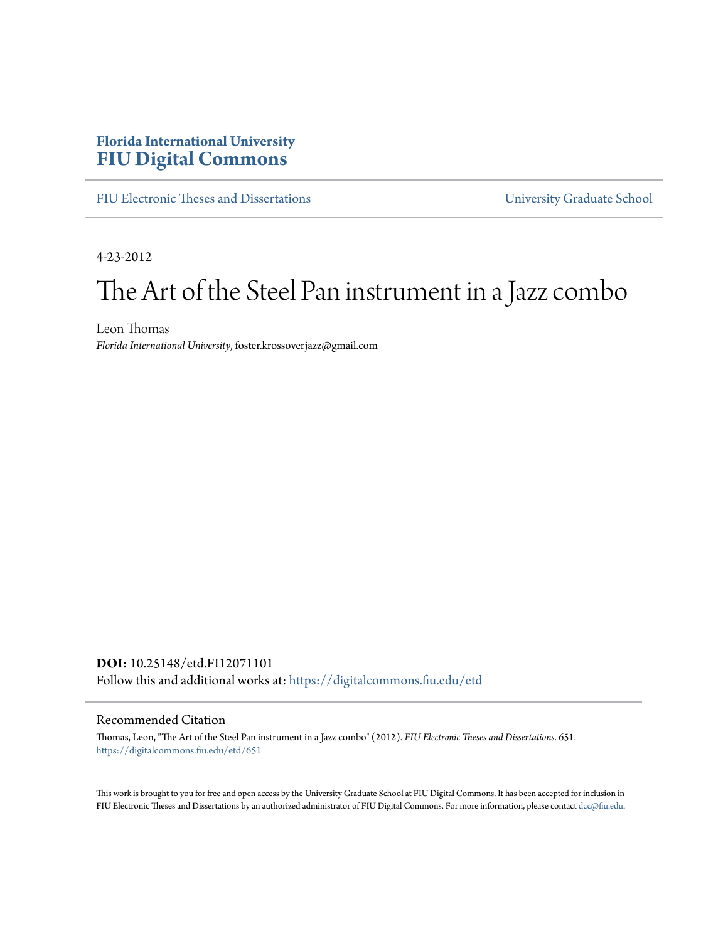## **Florida International University [FIU Digital Commons](https://digitalcommons.fiu.edu/?utm_source=digitalcommons.fiu.edu%2Fetd%2F651&utm_medium=PDF&utm_campaign=PDFCoverPages)**

[FIU Electronic Theses and Dissertations](https://digitalcommons.fiu.edu/etd?utm_source=digitalcommons.fiu.edu%2Fetd%2F651&utm_medium=PDF&utm_campaign=PDFCoverPages) [University Graduate School](https://digitalcommons.fiu.edu/ugs?utm_source=digitalcommons.fiu.edu%2Fetd%2F651&utm_medium=PDF&utm_campaign=PDFCoverPages)

4-23-2012

# The Art of the Steel Pan instrument in a Jazz combo

Leon Thomas *Florida International University*, foster.krossoverjazz@gmail.com

**DOI:** 10.25148/etd.FI12071101 Follow this and additional works at: [https://digitalcommons.fiu.edu/etd](https://digitalcommons.fiu.edu/etd?utm_source=digitalcommons.fiu.edu%2Fetd%2F651&utm_medium=PDF&utm_campaign=PDFCoverPages)

#### Recommended Citation

Thomas, Leon, "The Art of the Steel Pan instrument in a Jazz combo" (2012). *FIU Electronic Theses and Dissertations*. 651. [https://digitalcommons.fiu.edu/etd/651](https://digitalcommons.fiu.edu/etd/651?utm_source=digitalcommons.fiu.edu%2Fetd%2F651&utm_medium=PDF&utm_campaign=PDFCoverPages)

This work is brought to you for free and open access by the University Graduate School at FIU Digital Commons. It has been accepted for inclusion in FIU Electronic Theses and Dissertations by an authorized administrator of FIU Digital Commons. For more information, please contact [dcc@fiu.edu](mailto:dcc@fiu.edu).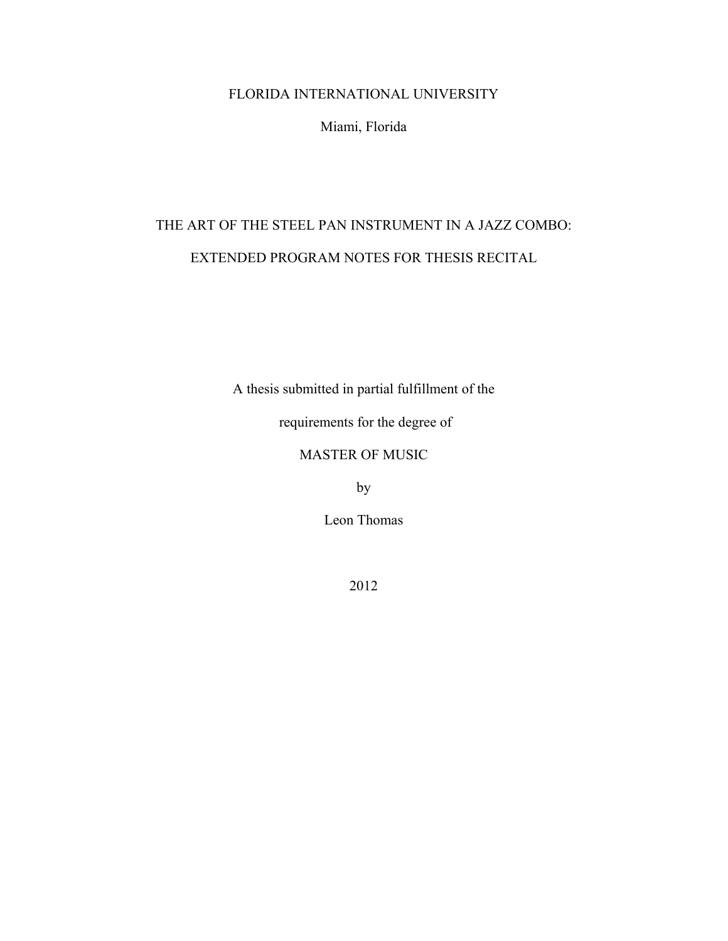## FLORIDA INTERNATIONAL UNIVERSITY

Miami, Florida

## THE ART OF THE STEEL PAN INSTRUMENT IN A JAZZ COMBO: EXTENDED PROGRAM NOTES FOR THESIS RECITAL

A thesis submitted in partial fulfillment of the

requirements for the degree of

## MASTER OF MUSIC

by

Leon Thomas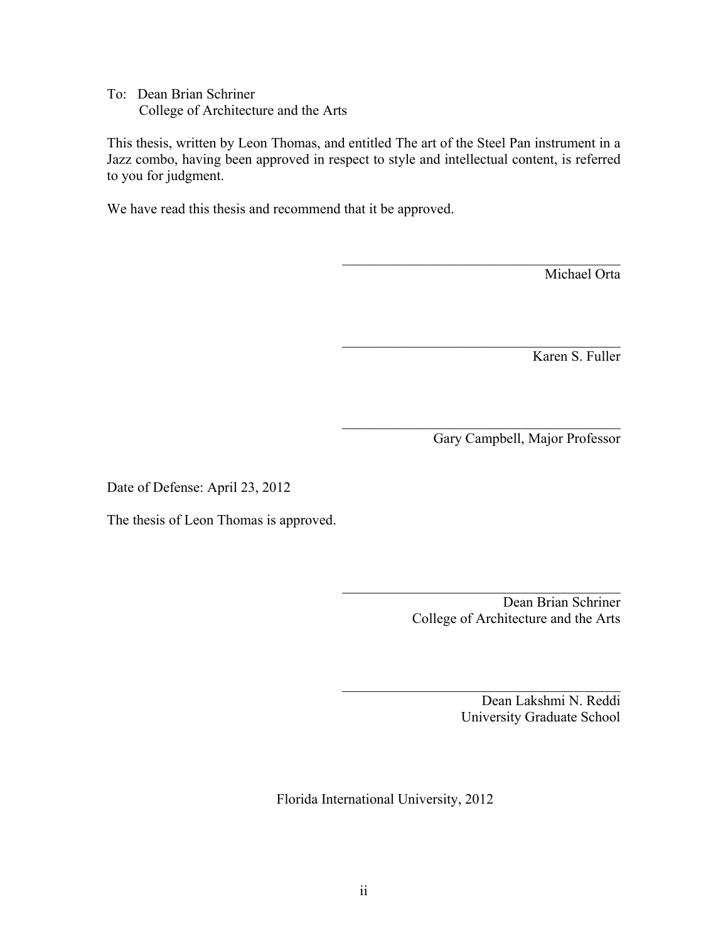To: Dean Brian Schriner College of Architecture and the Arts

This thesis, written by Leon Thomas, and entitled The art of the Steel Pan instrument in a Jazz combo, having been approved in respect to style and intellectual content, is referred to you for judgment.

We have read this thesis and recommend that it be approved.

Michael Orta

Karen S. Fuller

Gary Campbell, Major Professor

 $\mathcal{L}_\text{max}$  , and the set of the set of the set of the set of the set of the set of the set of the set of the set of the set of the set of the set of the set of the set of the set of the set of the set of the set of the

 $\mathcal{L}_\text{max}$  , and the set of the set of the set of the set of the set of the set of the set of the set of the set of the set of the set of the set of the set of the set of the set of the set of the set of the set of the

 $\mathcal{L}_\text{max}$  , and the set of the set of the set of the set of the set of the set of the set of the set of the set of the set of the set of the set of the set of the set of the set of the set of the set of the set of the

Date of Defense: April 23, 2012

The thesis of Leon Thomas is approved.

 $\mathcal{L}_\text{max}$  , and the set of the set of the set of the set of the set of the set of the set of the set of the set of the set of the set of the set of the set of the set of the set of the set of the set of the set of the Dean Brian Schriner College of Architecture and the Arts

 $\mathcal{L}_\text{max}$  , and the set of the set of the set of the set of the set of the set of the set of the set of the set of the set of the set of the set of the set of the set of the set of the set of the set of the set of the

Dean Lakshmi N. Reddi University Graduate School

Florida International University, 2012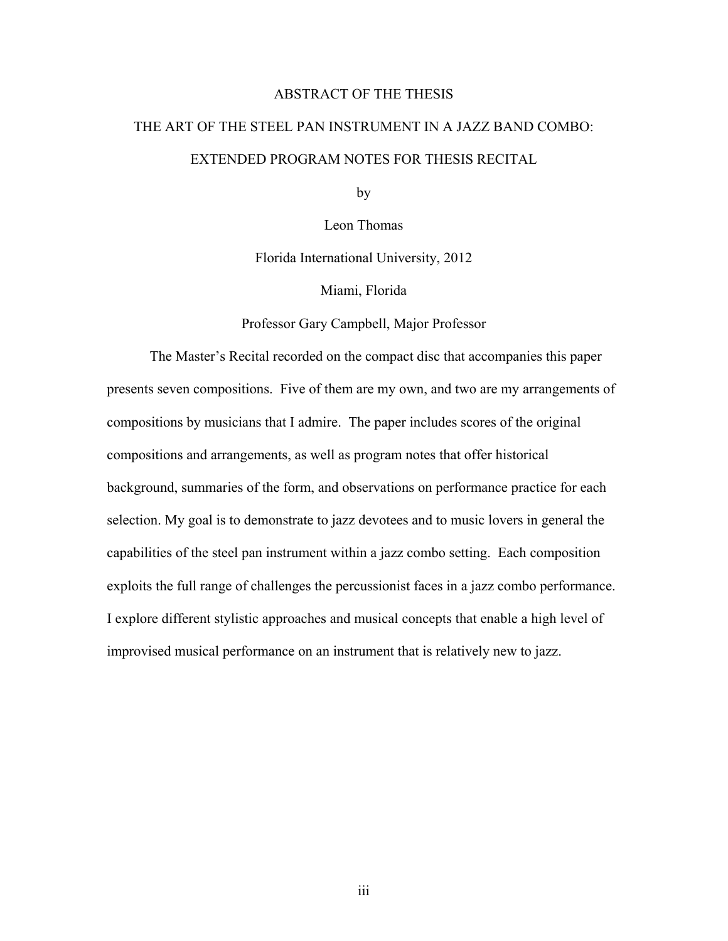#### ABSTRACT OF THE THESIS

## THE ART OF THE STEEL PAN INSTRUMENT IN A JAZZ BAND COMBO: EXTENDED PROGRAM NOTES FOR THESIS RECITAL

by

Leon Thomas

Florida International University, 2012

Miami, Florida

Professor Gary Campbell, Major Professor

The Master's Recital recorded on the compact disc that accompanies this paper presents seven compositions. Five of them are my own, and two are my arrangements of compositions by musicians that I admire. The paper includes scores of the original compositions and arrangements, as well as program notes that offer historical background, summaries of the form, and observations on performance practice for each selection. My goal is to demonstrate to jazz devotees and to music lovers in general the capabilities of the steel pan instrument within a jazz combo setting. Each composition exploits the full range of challenges the percussionist faces in a jazz combo performance. I explore different stylistic approaches and musical concepts that enable a high level of improvised musical performance on an instrument that is relatively new to jazz.

iii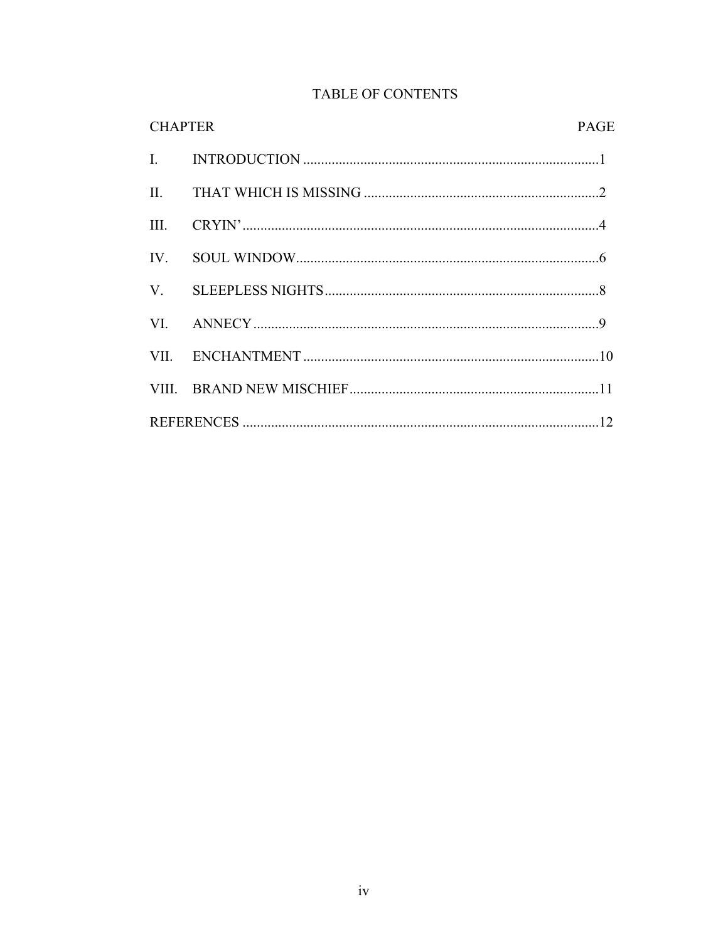| <b>TABLE OF CONTENTS</b> |  |
|--------------------------|--|
|--------------------------|--|

|      | <b>CHAPTER</b> |  |
|------|----------------|--|
|      |                |  |
|      |                |  |
| III. |                |  |
|      |                |  |
|      |                |  |
|      |                |  |
|      |                |  |
|      |                |  |
|      |                |  |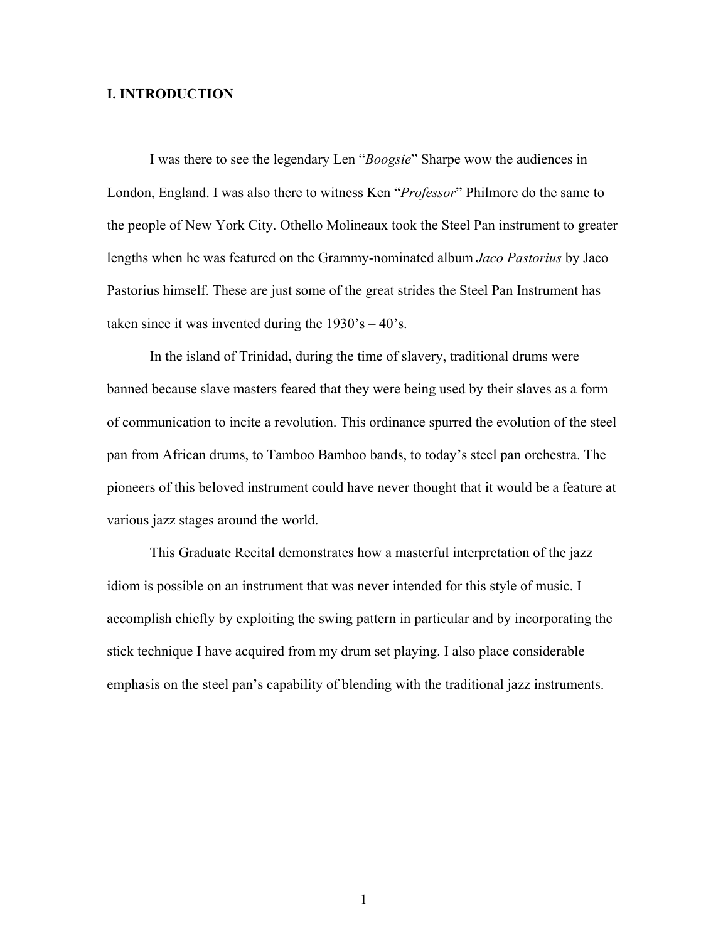#### **I. INTRODUCTION**

I was there to see the legendary Len "*Boogsie*" Sharpe wow the audiences in London, England. I was also there to witness Ken "*Professor*" Philmore do the same to the people of New York City. Othello Molineaux took the Steel Pan instrument to greater lengths when he was featured on the Grammy-nominated album *Jaco Pastorius* by Jaco Pastorius himself. These are just some of the great strides the Steel Pan Instrument has taken since it was invented during the  $1930 \degree s - 40 \degree s$ .

In the island of Trinidad, during the time of slavery, traditional drums were banned because slave masters feared that they were being used by their slaves as a form of communication to incite a revolution. This ordinance spurred the evolution of the steel pan from African drums, to Tamboo Bamboo bands, to today's steel pan orchestra. The pioneers of this beloved instrument could have never thought that it would be a feature at various jazz stages around the world.

This Graduate Recital demonstrates how a masterful interpretation of the jazz idiom is possible on an instrument that was never intended for this style of music. I accomplish chiefly by exploiting the swing pattern in particular and by incorporating the stick technique I have acquired from my drum set playing. I also place considerable emphasis on the steel pan's capability of blending with the traditional jazz instruments.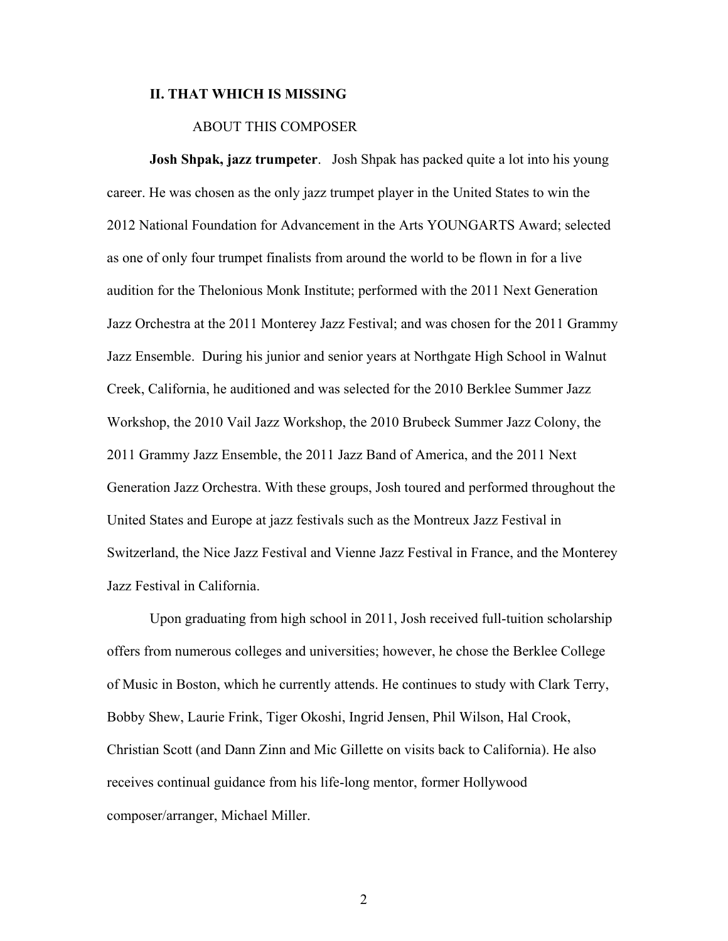#### **II. THAT WHICH IS MISSING**

#### ABOUT THIS COMPOSER

**Josh Shpak, jazz trumpeter**. Josh Shpak has packed quite a lot into his young career. He was chosen as the only jazz trumpet player in the United States to win the 2012 National Foundation for Advancement in the Arts YOUNGARTS Award; selected as one of only four trumpet finalists from around the world to be flown in for a live audition for the Thelonious Monk Institute; performed with the 2011 Next Generation Jazz Orchestra at the 2011 Monterey Jazz Festival; and was chosen for the 2011 Grammy Jazz Ensemble. During his junior and senior years at Northgate High School in Walnut Creek, California, he auditioned and was selected for the 2010 Berklee Summer Jazz Workshop, the 2010 Vail Jazz Workshop, the 2010 Brubeck Summer Jazz Colony, the 2011 Grammy Jazz Ensemble, the 2011 Jazz Band of America, and the 2011 Next Generation Jazz Orchestra. With these groups, Josh toured and performed throughout the United States and Europe at jazz festivals such as the Montreux Jazz Festival in Switzerland, the Nice Jazz Festival and Vienne Jazz Festival in France, and the Monterey Jazz Festival in California.

Upon graduating from high school in 2011, Josh received full-tuition scholarship offers from numerous colleges and universities; however, he chose the Berklee College of Music in Boston, which he currently attends. He continues to study with Clark Terry, Bobby Shew, Laurie Frink, Tiger Okoshi, Ingrid Jensen, Phil Wilson, Hal Crook, Christian Scott (and Dann Zinn and Mic Gillette on visits back to California). He also receives continual guidance from his life-long mentor, former Hollywood composer/arranger, Michael Miller.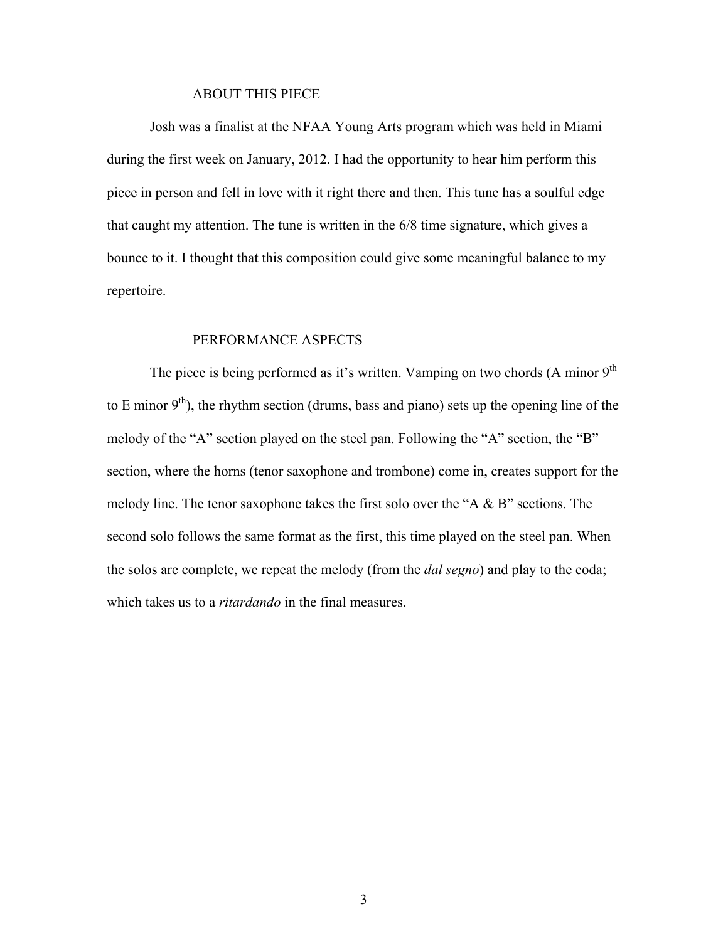#### ABOUT THIS PIECE

Josh was a finalist at the NFAA Young Arts program which was held in Miami during the first week on January, 2012. I had the opportunity to hear him perform this piece in person and fell in love with it right there and then. This tune has a soulful edge that caught my attention. The tune is written in the 6/8 time signature, which gives a bounce to it. I thought that this composition could give some meaningful balance to my repertoire.

#### PERFORMANCE ASPECTS

The piece is being performed as it's written. Vamping on two chords  $(A \text{ minor } 9^{\text{th}})$ to E minor  $9<sup>th</sup>$ ), the rhythm section (drums, bass and piano) sets up the opening line of the melody of the "A" section played on the steel pan. Following the "A" section, the "B" section, where the horns (tenor saxophone and trombone) come in, creates support for the melody line. The tenor saxophone takes the first solo over the "A & B" sections. The second solo follows the same format as the first, this time played on the steel pan. When the solos are complete, we repeat the melody (from the *dal segno*) and play to the coda; which takes us to a *ritardando* in the final measures.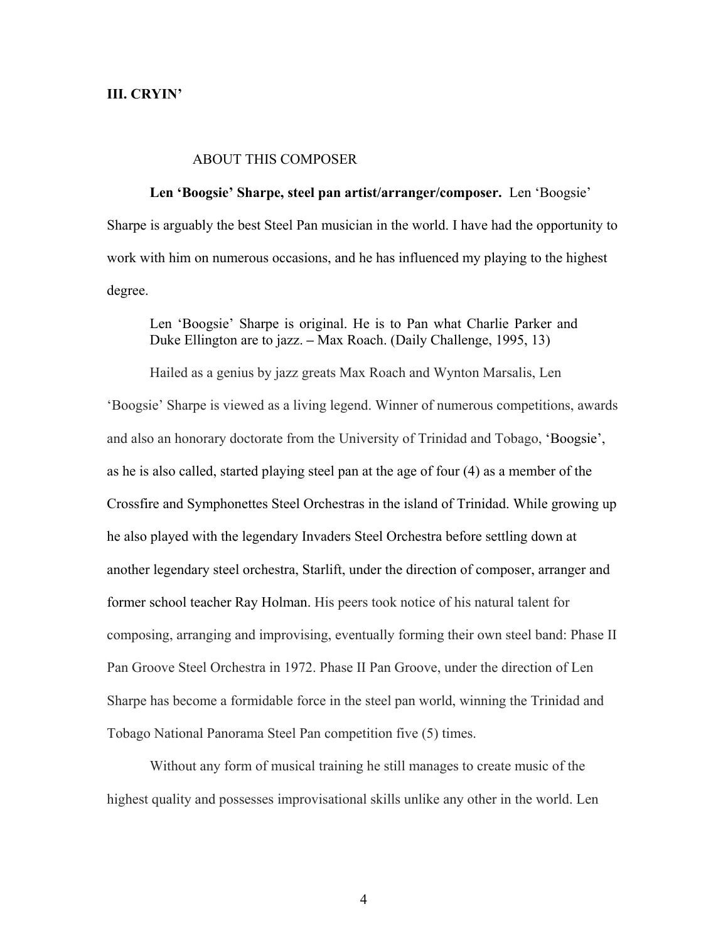#### **III. CRYIN'**

#### ABOUT THIS COMPOSER

**Len 'Boogsie' Sharpe, steel pan artist/arranger/composer.** Len 'Boogsie' Sharpe is arguably the best Steel Pan musician in the world. I have had the opportunity to work with him on numerous occasions, and he has influenced my playing to the highest degree.

Len 'Boogsie' Sharpe is original. He is to Pan what Charlie Parker and Duke Ellington are to jazz. **–** Max Roach. (Daily Challenge, 1995, 13)

Hailed as a genius by jazz greats Max Roach and Wynton Marsalis, Len 'Boogsie' Sharpe is viewed as a living legend. Winner of numerous competitions, awards and also an honorary doctorate from the University of Trinidad and Tobago, 'Boogsie', as he is also called, started playing steel pan at the age of four (4) as a member of the Crossfire and Symphonettes Steel Orchestras in the island of Trinidad. While growing up he also played with the legendary Invaders Steel Orchestra before settling down at another legendary steel orchestra, Starlift, under the direction of composer, arranger and former school teacher Ray Holman. His peers took notice of his natural talent for composing, arranging and improvising, eventually forming their own steel band: Phase II Pan Groove Steel Orchestra in 1972. Phase II Pan Groove, under the direction of Len Sharpe has become a formidable force in the steel pan world, winning the Trinidad and Tobago National Panorama Steel Pan competition five (5) times.

Without any form of musical training he still manages to create music of the highest quality and possesses improvisational skills unlike any other in the world. Len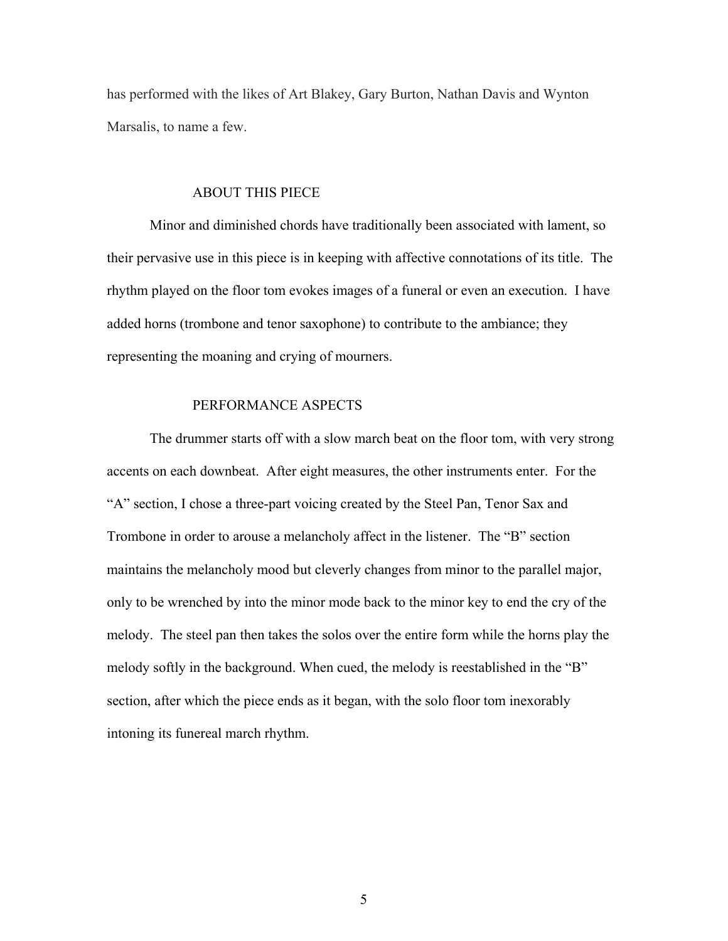has performed with the likes of Art Blakey, Gary Burton, Nathan Davis and Wynton Marsalis, to name a few.

#### ABOUT THIS PIECE

Minor and diminished chords have traditionally been associated with lament, so their pervasive use in this piece is in keeping with affective connotations of its title. The rhythm played on the floor tom evokes images of a funeral or even an execution. I have added horns (trombone and tenor saxophone) to contribute to the ambiance; they representing the moaning and crying of mourners.

#### PERFORMANCE ASPECTS

 The drummer starts off with a slow march beat on the floor tom, with very strong accents on each downbeat. After eight measures, the other instruments enter. For the "A" section, I chose a three-part voicing created by the Steel Pan, Tenor Sax and Trombone in order to arouse a melancholy affect in the listener. The "B" section maintains the melancholy mood but cleverly changes from minor to the parallel major, only to be wrenched by into the minor mode back to the minor key to end the cry of the melody. The steel pan then takes the solos over the entire form while the horns play the melody softly in the background. When cued, the melody is reestablished in the "B" section, after which the piece ends as it began, with the solo floor tom inexorably intoning its funereal march rhythm.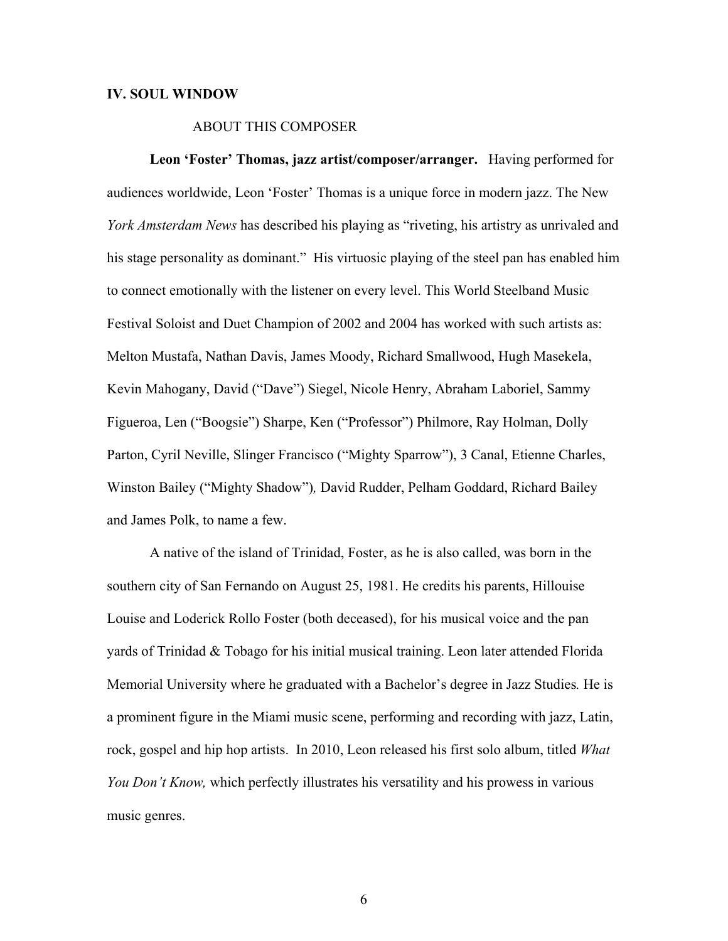#### **IV. SOUL WINDOW**

#### ABOUT THIS COMPOSER

**Leon 'Foster' Thomas, jazz artist/composer/arranger.** Having performed for audiences worldwide, Leon 'Foster' Thomas is a unique force in modern jazz. The New *York Amsterdam News* has described his playing as "riveting, his artistry as unrivaled and his stage personality as dominant." His virtuosic playing of the steel pan has enabled him to connect emotionally with the listener on every level. This World Steelband Music Festival Soloist and Duet Champion of 2002 and 2004 has worked with such artists as: Melton Mustafa, Nathan Davis, James Moody, Richard Smallwood, Hugh Masekela, Kevin Mahogany, David ("Dave") Siegel, Nicole Henry, Abraham Laboriel, Sammy Figueroa, Len ("Boogsie") Sharpe, Ken ("Professor") Philmore, Ray Holman, Dolly Parton, Cyril Neville, Slinger Francisco ("Mighty Sparrow"), 3 Canal, Etienne Charles, Winston Bailey ("Mighty Shadow")*,* David Rudder, Pelham Goddard, Richard Bailey and James Polk, to name a few.

A native of the island of Trinidad, Foster, as he is also called, was born in the southern city of San Fernando on August 25, 1981. He credits his parents, Hillouise Louise and Loderick Rollo Foster (both deceased), for his musical voice and the pan yards of Trinidad & Tobago for his initial musical training. Leon later attended Florida Memorial University where he graduated with a Bachelor's degree in Jazz Studies*.* He is a prominent figure in the Miami music scene, performing and recording with jazz, Latin, rock, gospel and hip hop artists. In 2010, Leon released his first solo album, titled *What You Don't Know,* which perfectly illustrates his versatility and his prowess in various music genres.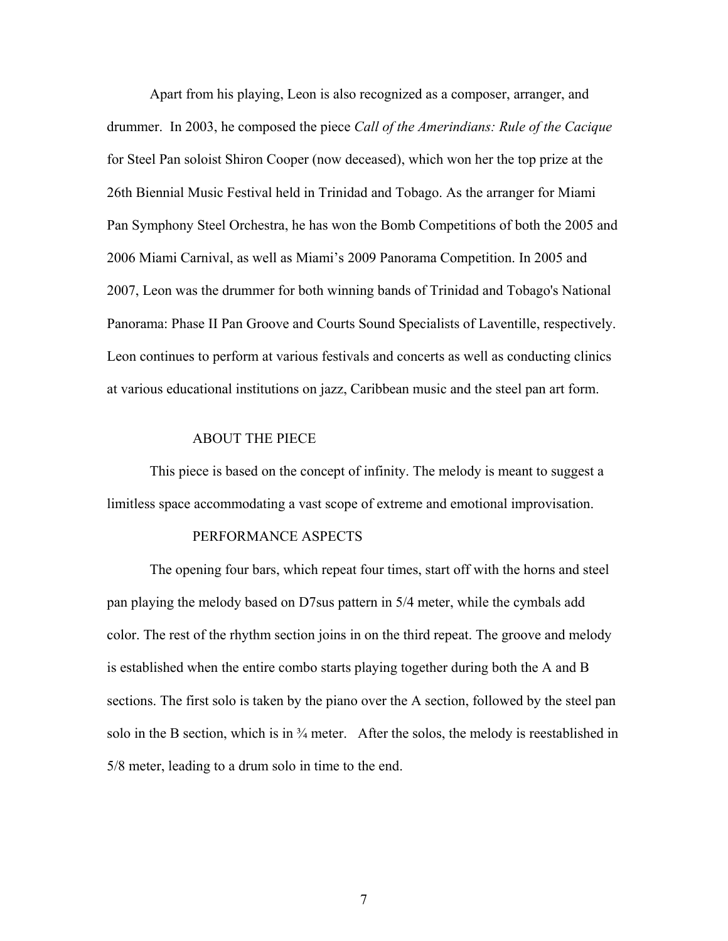Apart from his playing, Leon is also recognized as a composer, arranger, and drummer. In 2003, he composed the piece *Call of the Amerindians: Rule of the Cacique* for Steel Pan soloist Shiron Cooper (now deceased), which won her the top prize at the 26th Biennial Music Festival held in Trinidad and Tobago. As the arranger for Miami Pan Symphony Steel Orchestra, he has won the Bomb Competitions of both the 2005 and 2006 Miami Carnival, as well as Miami's 2009 Panorama Competition. In 2005 and 2007, Leon was the drummer for both winning bands of Trinidad and Tobago's National Panorama: Phase II Pan Groove and Courts Sound Specialists of Laventille, respectively. Leon continues to perform at various festivals and concerts as well as conducting clinics at various educational institutions on jazz, Caribbean music and the steel pan art form.

#### ABOUT THE PIECE

This piece is based on the concept of infinity. The melody is meant to suggest a limitless space accommodating a vast scope of extreme and emotional improvisation.

#### PERFORMANCE ASPECTS

The opening four bars, which repeat four times, start off with the horns and steel pan playing the melody based on D7sus pattern in 5/4 meter, while the cymbals add color. The rest of the rhythm section joins in on the third repeat. The groove and melody is established when the entire combo starts playing together during both the A and B sections. The first solo is taken by the piano over the A section, followed by the steel pan solo in the B section, which is in  $\frac{3}{4}$  meter. After the solos, the melody is reestablished in 5/8 meter, leading to a drum solo in time to the end.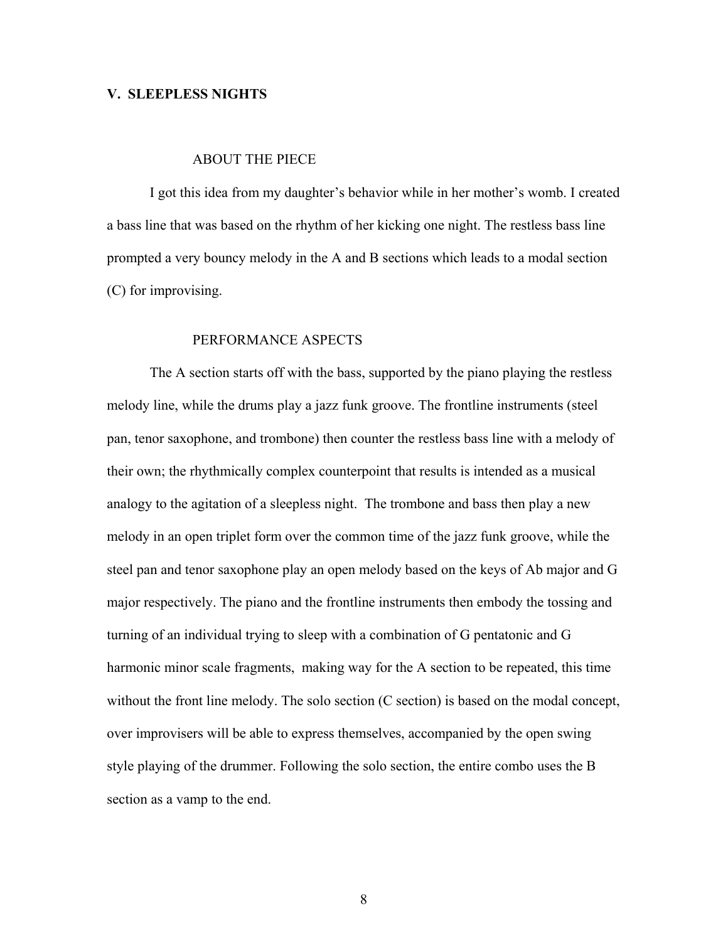#### **V. SLEEPLESS NIGHTS**

#### ABOUT THE PIECE

I got this idea from my daughter's behavior while in her mother's womb. I created a bass line that was based on the rhythm of her kicking one night. The restless bass line prompted a very bouncy melody in the A and B sections which leads to a modal section (C) for improvising.

#### PERFORMANCE ASPECTS

 The A section starts off with the bass, supported by the piano playing the restless melody line, while the drums play a jazz funk groove. The frontline instruments (steel pan, tenor saxophone, and trombone) then counter the restless bass line with a melody of their own; the rhythmically complex counterpoint that results is intended as a musical analogy to the agitation of a sleepless night. The trombone and bass then play a new melody in an open triplet form over the common time of the jazz funk groove, while the steel pan and tenor saxophone play an open melody based on the keys of Ab major and G major respectively. The piano and the frontline instruments then embody the tossing and turning of an individual trying to sleep with a combination of G pentatonic and G harmonic minor scale fragments, making way for the A section to be repeated, this time without the front line melody. The solo section (C section) is based on the modal concept, over improvisers will be able to express themselves, accompanied by the open swing style playing of the drummer. Following the solo section, the entire combo uses the B section as a vamp to the end.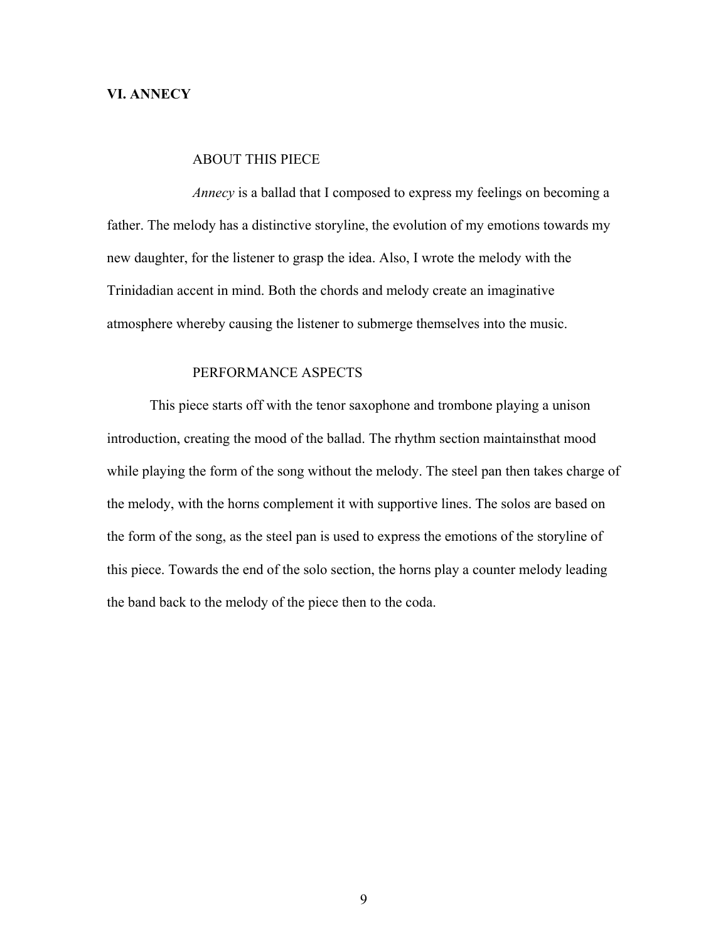#### **VI. ANNECY**

#### ABOUT THIS PIECE

*Annecy* is a ballad that I composed to express my feelings on becoming a father. The melody has a distinctive storyline, the evolution of my emotions towards my new daughter, for the listener to grasp the idea. Also, I wrote the melody with the Trinidadian accent in mind. Both the chords and melody create an imaginative atmosphere whereby causing the listener to submerge themselves into the music.

#### PERFORMANCE ASPECTS

 This piece starts off with the tenor saxophone and trombone playing a unison introduction, creating the mood of the ballad. The rhythm section maintainsthat mood while playing the form of the song without the melody. The steel pan then takes charge of the melody, with the horns complement it with supportive lines. The solos are based on the form of the song, as the steel pan is used to express the emotions of the storyline of this piece. Towards the end of the solo section, the horns play a counter melody leading the band back to the melody of the piece then to the coda.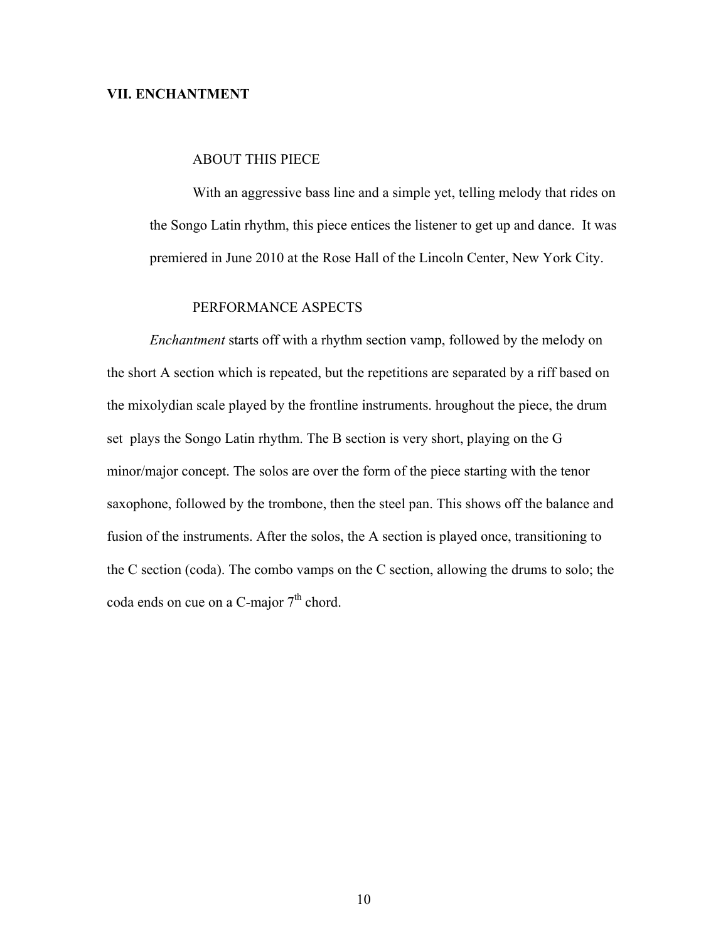#### **VII. ENCHANTMENT**

#### ABOUT THIS PIECE

With an aggressive bass line and a simple yet, telling melody that rides on the Songo Latin rhythm, this piece entices the listener to get up and dance. It was premiered in June 2010 at the Rose Hall of the Lincoln Center, New York City.

### PERFORMANCE ASPECTS

 *Enchantment* starts off with a rhythm section vamp, followed by the melody on the short A section which is repeated, but the repetitions are separated by a riff based on the mixolydian scale played by the frontline instruments. hroughout the piece, the drum set plays the Songo Latin rhythm. The B section is very short, playing on the G minor/major concept. The solos are over the form of the piece starting with the tenor saxophone, followed by the trombone, then the steel pan. This shows off the balance and fusion of the instruments. After the solos, the A section is played once, transitioning to the C section (coda). The combo vamps on the C section, allowing the drums to solo; the coda ends on cue on a C-major  $7<sup>th</sup>$  chord.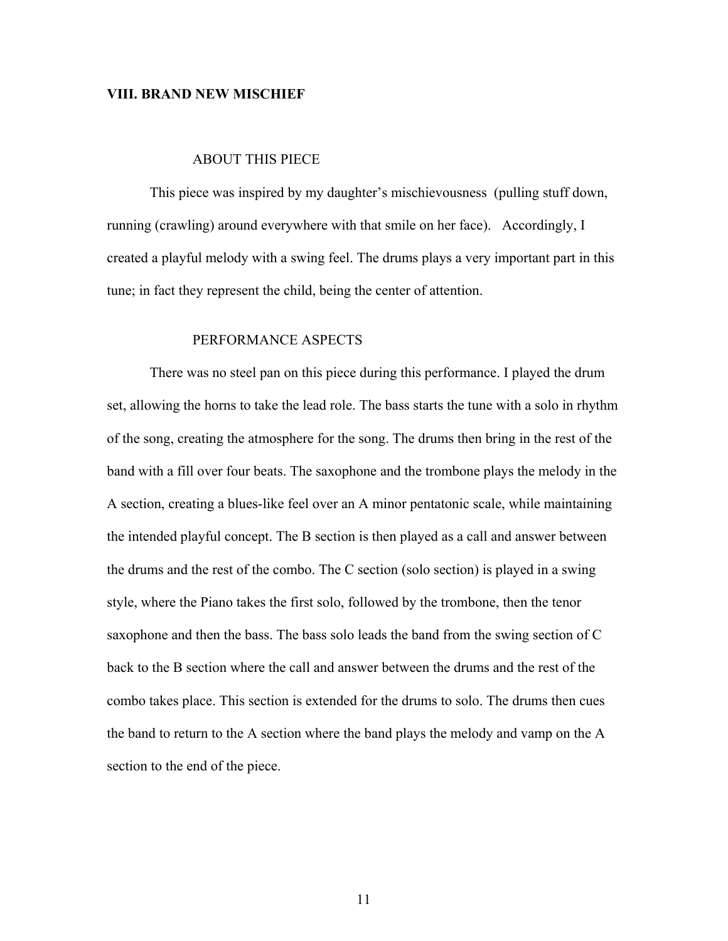#### **VIII. BRAND NEW MISCHIEF**

#### ABOUT THIS PIECE

 This piece was inspired by my daughter's mischievousness (pulling stuff down, running (crawling) around everywhere with that smile on her face). Accordingly, I created a playful melody with a swing feel. The drums plays a very important part in this tune; in fact they represent the child, being the center of attention.

#### PERFORMANCE ASPECTS

 There was no steel pan on this piece during this performance. I played the drum set, allowing the horns to take the lead role. The bass starts the tune with a solo in rhythm of the song, creating the atmosphere for the song. The drums then bring in the rest of the band with a fill over four beats. The saxophone and the trombone plays the melody in the A section, creating a blues-like feel over an A minor pentatonic scale, while maintaining the intended playful concept. The B section is then played as a call and answer between the drums and the rest of the combo. The C section (solo section) is played in a swing style, where the Piano takes the first solo, followed by the trombone, then the tenor saxophone and then the bass. The bass solo leads the band from the swing section of C back to the B section where the call and answer between the drums and the rest of the combo takes place. This section is extended for the drums to solo. The drums then cues the band to return to the A section where the band plays the melody and vamp on the A section to the end of the piece.